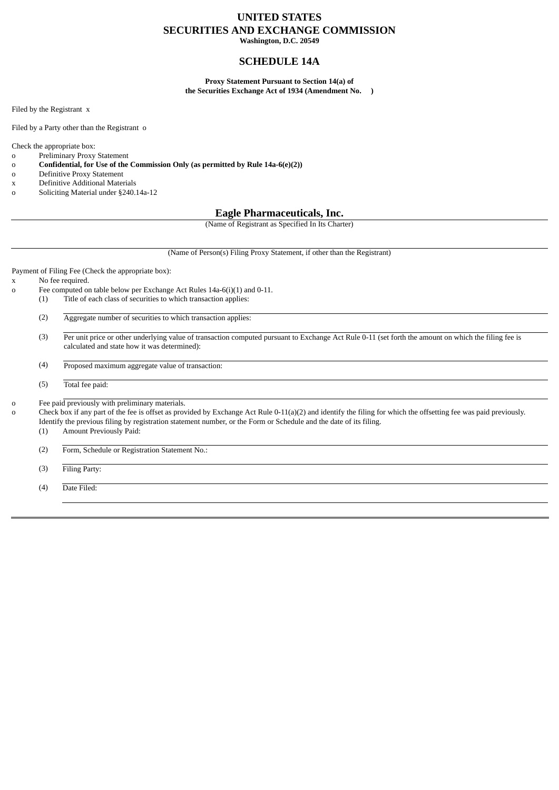## **UNITED STATES SECURITIES AND EXCHANGE COMMISSION**

**Washington, D.C. 20549**

### **SCHEDULE 14A**

**Proxy Statement Pursuant to Section 14(a) of the Securities Exchange Act of 1934 (Amendment No. )**

Filed by the Registrant x

Filed by a Party other than the Registrant o

Check the appropriate box:

o Preliminary Proxy Statement

o **Confidential, for Use of the Commission Only (as permitted by Rule 14a-6(e)(2))**

- o Definitive Proxy Statement
- x Definitive Additional Materials
- o Soliciting Material under §240.14a-12

### **Eagle Pharmaceuticals, Inc.**

(Name of Registrant as Specified In Its Charter)

(Name of Person(s) Filing Proxy Statement, if other than the Registrant)

Payment of Filing Fee (Check the appropriate box):

x No fee required.

- o Fee computed on table below per Exchange Act Rules 14a-6(i)(1) and 0-11.
	- (1) Title of each class of securities to which transaction applies:

(2) Aggregate number of securities to which transaction applies:

(3) Per unit price or other underlying value of transaction computed pursuant to Exchange Act Rule 0-11 (set forth the amount on which the filing fee is calculated and state how it was determined):

(4) Proposed maximum aggregate value of transaction:

(5) Total fee paid:

o Fee paid previously with preliminary materials.

o Check box if any part of the fee is offset as provided by Exchange Act Rule 0-11(a)(2) and identify the filing for which the offsetting fee was paid previously. Identify the previous filing by registration statement number, or the Form or Schedule and the date of its filing.

(1) Amount Previously Paid:

(2) Form, Schedule or Registration Statement No.:

(3) Filing Party:

(4) Date Filed: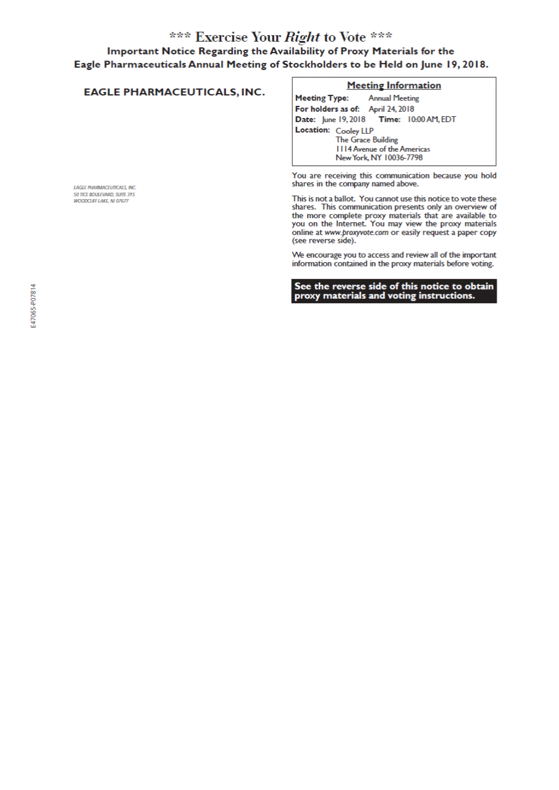## \*\*\* Exercise Your Right to Vote \*\*\*

## Important Notice Regarding the Availability of Proxy Materials for the Eagle Pharmaceuticals Annual Meeting of Stockholders to be Held on June 19, 2018.

#### **Meeting Information EAGLE PHARMACEUTICALS, INC. Meeting Type: Annual Meeting** For holders as of: April 24, 2018 Date: June 19, 2018 Time: 10:00 AM, EDT Location: Cooley LLP The Grace Building III4 Avenue of the Americas New York, NY 10036-7798 You are receiving this communication because you hold shares in the company named above. EAGLE PHARMACEUTICALS, INC. **SO TICE BOULEVARD, SUITE 315**<br>WOODCLIFF LAKE, NJ 07677 This is not a ballot. You cannot use this notice to vote these

shares. This communication presents only an overview of the more complete proxy materials that are available to you on the Internet. You may view the proxy materials online at www.proxyvote.com or easily request a paper copy (see reverse side).

We encourage you to access and review all of the important information contained in the proxy materials before voting.

See the reverse side of this notice to obtain proxy materials and voting instructions.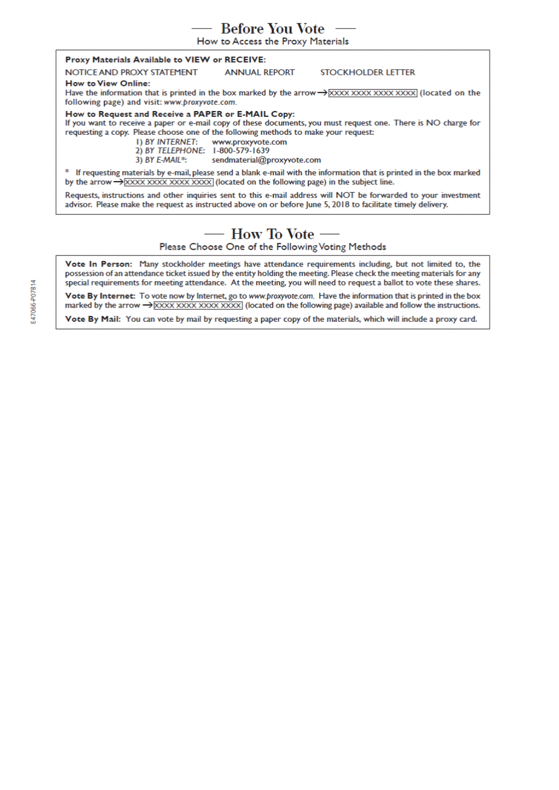## Before You Vote  $-$

How to Access the Proxy Materials

#### Proxy Materials Available to VIEW or RECEIVE:

NOTICE AND PROXY STATEMENT

**STOCKHOLDER LETTER** 

#### **How to View Online:**

Have the information that is printed in the box marked by the arrow  $\rightarrow$  XXXX XXXX XXXX XXXX (located on the following page) and visit: www.proxyvote.com.

**ANNUAL REPORT** 

How to Request and Receive a PAPER or E-MAIL Copy:

If you want to receive a paper or e-mail copy of these documents, you must request one. There is NO charge for requesting a copy. Please choose one of the following methods to make your request:

**I) BY INTERNET:** www.proxyvote.com 2) BY TELEPHONE: 1-800-579-1639

3) BY E-MAIL\*: sendmaterial@proxyvote.com

\* If requesting materials by e-mail, please send a blank e-mail with the information that is printed in the box marked by the arrow  $\rightarrow$  XXXX XXXX XXXX XXXX (located on the following page) in the subject line.

Requests, instructions and other inquiries sent to this e-mail address will NOT be forwarded to your investment advisor. Please make the request as instructed above on or before June 5, 2018 to facilitate timely delivery.

# — How To Vote —

Please Choose One of the Following Voting Methods

Vote In Person: Many stockholder meetings have attendance requirements including, but not limited to, the possession of an attendance ticket issued by the entity holding the meeting. Please check the meeting materials for any special requirements for meeting attendance. At the meeting, you will need to request a ballot to vote these shares.

Vote By Internet: To vote now by Internet, go to www.proxyvote.com. Have the information that is printed in the box marked by the arrow  $\rightarrow$  XXXX XXXX XXXX XXXX (located on the following page) available and follow the instructions.

Vote By Mail: You can vote by mail by requesting a paper copy of the materials, which will include a proxy card.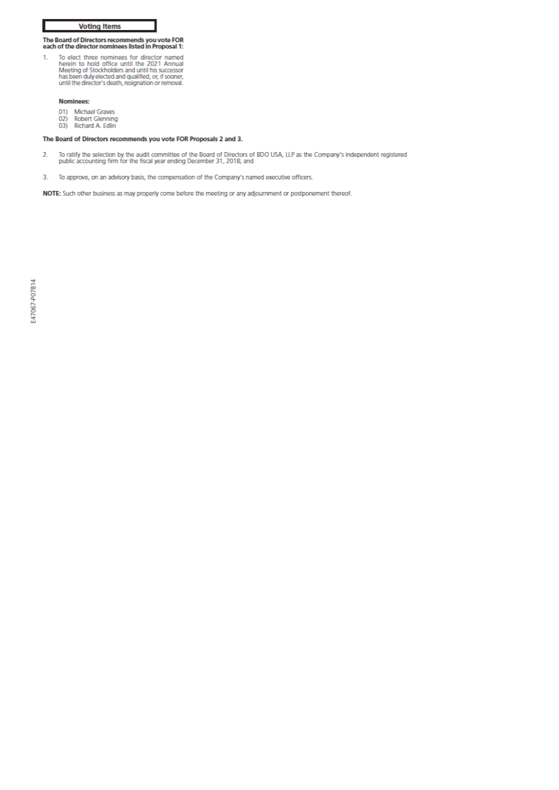#### **Voting Items**

# The Board of Directors recommends you vote FOR<br>each of the director nominees listed in Proposal 1:

To elect three nominees for director named<br>herein to hold office until the 2021 Annual<br>Meeting of Stockholders and until his successor<br>has been duly elected and qualified, or, if sooner,<br>until the director's death, resigna  $\mathbf{1}$ 

#### Nominees:

- 01) Michael Graves
- $02)$ Robert Glenning
- 03) Richard A. Edlin

#### The Board of Directors recommends you vote FOR Proposals 2 and 3.

- To ratify the selection by the audit committee of the Board of Directors of BDO USA, LLP as the Company's independent registered<br>public accounting firm for the fiscal year ending December 31, 2018; and 2.
- $\overline{3}$ . To approve, on an advisory basis, the compensation of the Company's named executive officers.

NOTE: Such other business as may properly come before the meeting or any adjournment or postponement thereof.